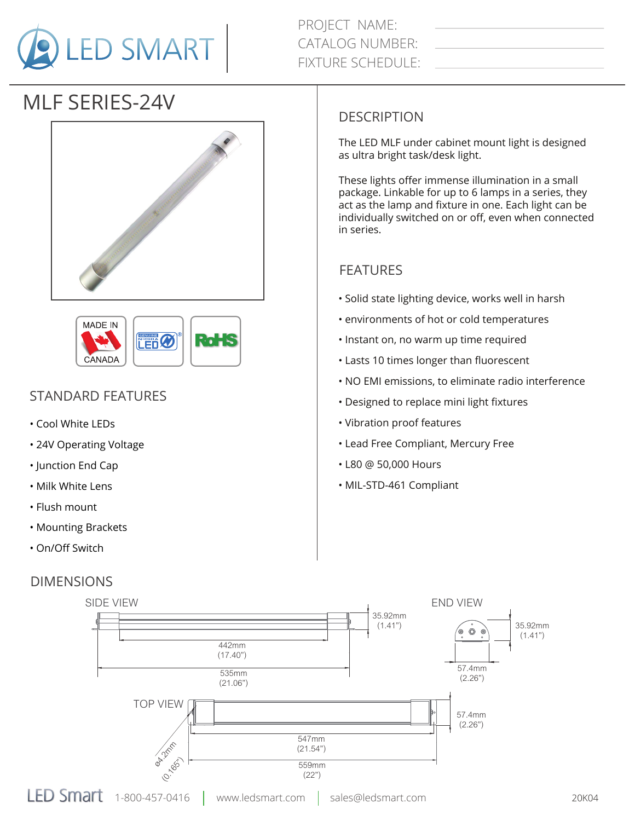

PROJECT NAME: CATALOG NUMBER: FIXTURE SCHEDULE:

# MLF SERIES-24V





## STANDARD FEATURES

- Cool White LEDs
- 24V Operating Voltage
- Junction End Cap
- Milk White Lens
- Flush mount
- Mounting Brackets
- On/Off Switch

### DIMENSIONS

#### DESCRIPTION

The LED MLF under cabinet mount light is designed as ultra bright task/desk light.

These lights offer immense illumination in a small package. Linkable for up to 6 lamps in a series, they act as the lamp and fixture in one. Each light can be individually switched on or off, even when connected in series.

#### FEATURES

- Solid state lighting device, works well in harsh
- environments of hot or cold temperatures
- Instant on, no warm up time required
- Lasts 10 times longer than fluorescent
- NO EMI emissions, to eliminate radio interference
- Designed to replace mini light fixtures
- Vibration proof features
- Lead Free Compliant, Mercury Free
- L80 @ 50,000 Hours
- MIL-STD-461 Compliant